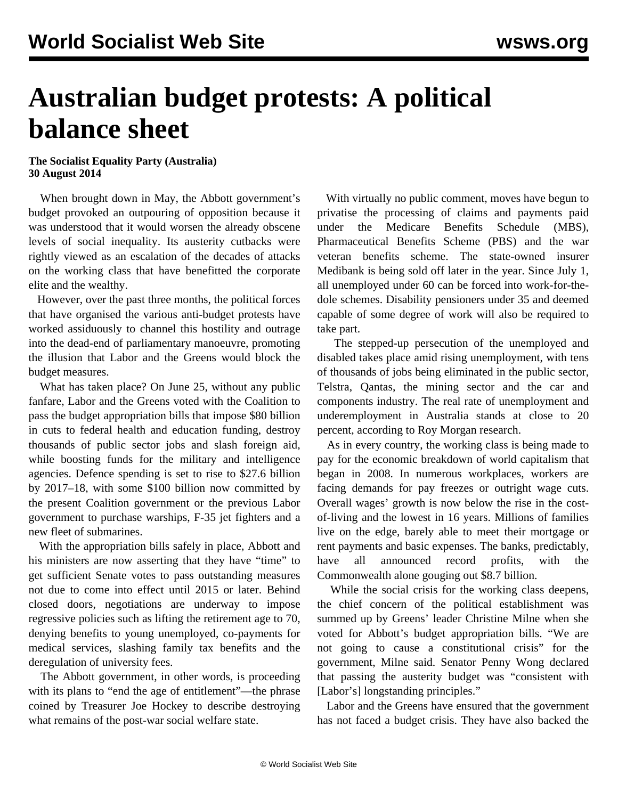## **Australian budget protests: A political balance sheet**

## **The Socialist Equality Party (Australia) 30 August 2014**

 When brought down in May, the Abbott government's budget provoked an outpouring of opposition because it was understood that it would worsen the already obscene levels of social inequality. Its austerity cutbacks were rightly viewed as an escalation of the decades of attacks on the working class that have benefitted the corporate elite and the wealthy.

 However, over the past three months, the political forces that have organised the various anti-budget protests have worked assiduously to channel this hostility and outrage into the dead-end of parliamentary manoeuvre, promoting the illusion that Labor and the Greens would block the budget measures.

 What has taken place? On June 25, without any public fanfare, Labor and the Greens voted with the Coalition to pass the budget appropriation bills that impose \$80 billion in cuts to federal health and education funding, destroy thousands of public sector jobs and slash foreign aid, while boosting funds for the military and intelligence agencies. Defence spending is set to rise to \$27.6 billion by 2017–18, with some \$100 billion now committed by the present Coalition government or the previous Labor government to purchase warships, F-35 jet fighters and a new fleet of submarines.

 With the appropriation bills safely in place, Abbott and his ministers are now asserting that they have "time" to get sufficient Senate votes to pass outstanding measures not due to come into effect until 2015 or later. Behind closed doors, negotiations are underway to impose regressive policies such as lifting the retirement age to 70, denying benefits to young unemployed, co-payments for medical services, slashing family tax benefits and the deregulation of university fees.

 The Abbott government, in other words, is proceeding with its plans to "end the age of entitlement"—the phrase coined by Treasurer Joe Hockey to describe destroying what remains of the post-war social welfare state.

 With virtually no public comment, moves have begun to privatise the processing of claims and payments paid under the Medicare Benefits Schedule (MBS), Pharmaceutical Benefits Scheme (PBS) and the war veteran benefits scheme. The state-owned insurer Medibank is being sold off later in the year. Since July 1, all unemployed under 60 can be forced into work-for-thedole schemes. Disability pensioners under 35 and deemed capable of some degree of work will also be required to take part.

 The stepped-up persecution of the unemployed and disabled takes place amid rising unemployment, with tens of thousands of jobs being eliminated in the public sector, Telstra, Qantas, the mining sector and the car and components industry. The real rate of unemployment and underemployment in Australia stands at close to 20 percent, according to Roy Morgan research.

 As in every country, the working class is being made to pay for the economic breakdown of world capitalism that began in 2008. In numerous workplaces, workers are facing demands for pay freezes or outright wage cuts. Overall wages' growth is now below the rise in the costof-living and the lowest in 16 years. Millions of families live on the edge, barely able to meet their mortgage or rent payments and basic expenses. The banks, predictably, have all announced record profits, with the Commonwealth alone gouging out \$8.7 billion.

 While the social crisis for the working class deepens, the chief concern of the political establishment was summed up by Greens' leader Christine Milne when she voted for Abbott's budget appropriation bills. "We are not going to cause a constitutional crisis" for the government, Milne said. Senator Penny Wong declared that passing the austerity budget was "consistent with [Labor's] longstanding principles."

 Labor and the Greens have ensured that the government has not faced a budget crisis. They have also backed the